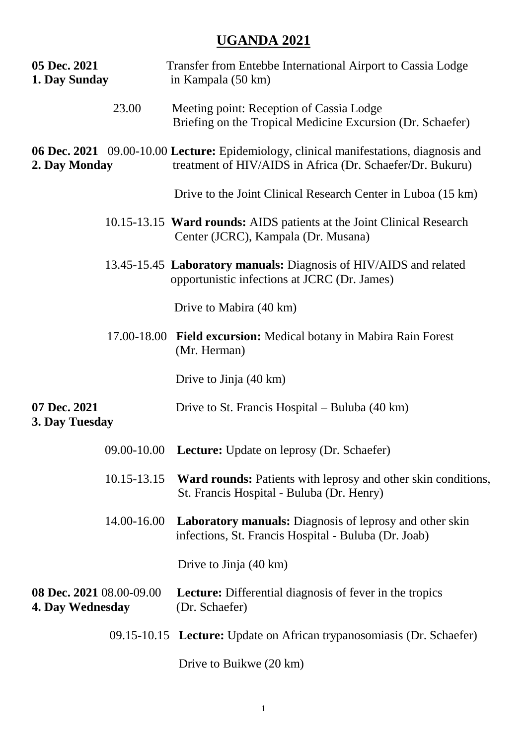## **UGANDA 2021**

| 05 Dec. 2021<br>1. Day Sunday                |             | Transfer from Entebbe International Airport to Cassia Lodge<br>in Kampala (50 km)                                                                   |  |
|----------------------------------------------|-------------|-----------------------------------------------------------------------------------------------------------------------------------------------------|--|
|                                              | 23.00       | Meeting point: Reception of Cassia Lodge<br>Briefing on the Tropical Medicine Excursion (Dr. Schaefer)                                              |  |
| 2. Day Monday                                |             | 06 Dec. 2021 09.00-10.00 Lecture: Epidemiology, clinical manifestations, diagnosis and<br>treatment of HIV/AIDS in Africa (Dr. Schaefer/Dr. Bukuru) |  |
|                                              |             | Drive to the Joint Clinical Research Center in Luboa (15 km)                                                                                        |  |
|                                              |             | 10.15-13.15 Ward rounds: AIDS patients at the Joint Clinical Research<br>Center (JCRC), Kampala (Dr. Musana)                                        |  |
|                                              |             | 13.45-15.45 Laboratory manuals: Diagnosis of HIV/AIDS and related<br>opportunistic infections at JCRC (Dr. James)                                   |  |
|                                              |             | Drive to Mabira (40 km)                                                                                                                             |  |
|                                              |             | 17.00-18.00 Field excursion: Medical botany in Mabira Rain Forest<br>(Mr. Herman)                                                                   |  |
|                                              |             | Drive to Jinja (40 km)                                                                                                                              |  |
| 07 Dec. 2021<br>3. Day Tuesday               |             | Drive to St. Francis Hospital – Buluba (40 km)                                                                                                      |  |
|                                              |             | 09.00-10.00 Lecture: Update on leprosy (Dr. Schaefer)                                                                                               |  |
|                                              | 10.15-13.15 | <b>Ward rounds:</b> Patients with leprosy and other skin conditions,<br>St. Francis Hospital - Buluba (Dr. Henry)                                   |  |
|                                              | 14.00-16.00 | <b>Laboratory manuals:</b> Diagnosis of leprosy and other skin<br>infections, St. Francis Hospital - Buluba (Dr. Joab)                              |  |
|                                              |             | Drive to Jinja (40 km)                                                                                                                              |  |
| 08 Dec. 2021 08.00-09.00<br>4. Day Wednesday |             | <b>Lecture:</b> Differential diagnosis of fever in the tropics<br>(Dr. Schaefer)                                                                    |  |
|                                              |             | 09.15-10.15 Lecture: Update on African trypanosomiasis (Dr. Schaefer)                                                                               |  |
|                                              |             | Drive to Buikwe (20 km)                                                                                                                             |  |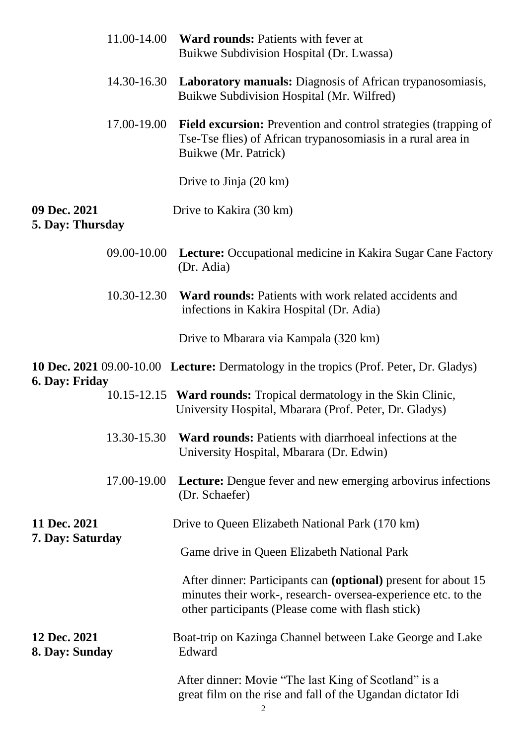|                                  | 11.00-14.00 | <b>Ward rounds: Patients with fever at</b><br>Buikwe Subdivision Hospital (Dr. Lwassa)                                                                                               |  |
|----------------------------------|-------------|--------------------------------------------------------------------------------------------------------------------------------------------------------------------------------------|--|
|                                  | 14.30-16.30 | <b>Laboratory manuals:</b> Diagnosis of African trypanosomiasis,<br>Buikwe Subdivision Hospital (Mr. Wilfred)                                                                        |  |
|                                  | 17.00-19.00 | <b>Field excursion:</b> Prevention and control strategies (trapping of<br>Tse-Tse flies) of African trypanosomiasis in a rural area in<br>Buikwe (Mr. Patrick)                       |  |
|                                  |             | Drive to Jinja (20 km)                                                                                                                                                               |  |
| 09 Dec. 2021<br>5. Day: Thursday |             | Drive to Kakira (30 km)                                                                                                                                                              |  |
|                                  | 09.00-10.00 | <b>Lecture:</b> Occupational medicine in Kakira Sugar Cane Factory<br>(Dr. Adia)                                                                                                     |  |
|                                  | 10.30-12.30 | <b>Ward rounds:</b> Patients with work related accidents and<br>infections in Kakira Hospital (Dr. Adia)                                                                             |  |
|                                  |             | Drive to Mbarara via Kampala (320 km)                                                                                                                                                |  |
| 6. Day: Friday                   |             | <b>10 Dec. 2021</b> 09.00-10.00 Lecture: Dermatology in the tropics (Prof. Peter, Dr. Gladys)                                                                                        |  |
|                                  |             | 10.15-12.15 Ward rounds: Tropical dermatology in the Skin Clinic,<br>University Hospital, Mbarara (Prof. Peter, Dr. Gladys)                                                          |  |
|                                  | 13.30-15.30 | <b>Ward rounds:</b> Patients with diarrhoeal infections at the<br>University Hospital, Mbarara (Dr. Edwin)                                                                           |  |
|                                  | 17.00-19.00 | <b>Lecture:</b> Dengue fever and new emerging arbovirus infections<br>(Dr. Schaefer)                                                                                                 |  |
| 11 Dec. 2021<br>7. Day: Saturday |             | Drive to Queen Elizabeth National Park (170 km)                                                                                                                                      |  |
|                                  |             | Game drive in Queen Elizabeth National Park                                                                                                                                          |  |
|                                  |             | After dinner: Participants can (optional) present for about 15<br>minutes their work-, research- oversea-experience etc. to the<br>other participants (Please come with flash stick) |  |
| 12 Dec. 2021<br>8. Day: Sunday   |             | Boat-trip on Kazinga Channel between Lake George and Lake<br>Edward                                                                                                                  |  |
|                                  |             | After dinner: Movie "The last King of Scotland" is a<br>great film on the rise and fall of the Ugandan dictator Idi                                                                  |  |

2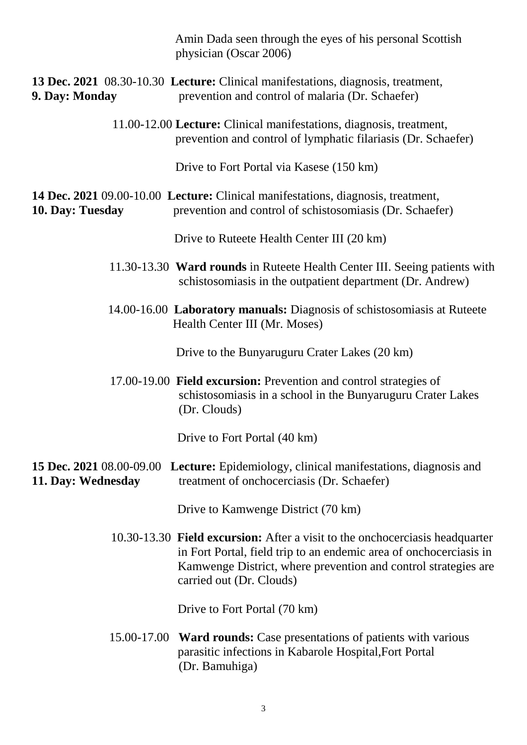|                                                       | physician (Oscar 2006)        | Amin Dada seen through the eyes of his personal Scottish                                                                                                                                                             |  |
|-------------------------------------------------------|-------------------------------|----------------------------------------------------------------------------------------------------------------------------------------------------------------------------------------------------------------------|--|
| 9. Day: Monday                                        |                               | <b>13 Dec. 2021</b> 08.30-10.30 Lecture: Clinical manifestations, diagnosis, treatment,<br>prevention and control of malaria (Dr. Schaefer)                                                                          |  |
|                                                       |                               | 11.00-12.00 Lecture: Clinical manifestations, diagnosis, treatment,<br>prevention and control of lymphatic filariasis (Dr. Schaefer)                                                                                 |  |
|                                                       |                               | Drive to Fort Portal via Kasese (150 km)                                                                                                                                                                             |  |
| 10. Day: Tuesday                                      |                               | 14 Dec. 2021 09.00-10.00 Lecture: Clinical manifestations, diagnosis, treatment,<br>prevention and control of schistosomiasis (Dr. Schaefer)                                                                         |  |
|                                                       |                               | Drive to Ruteete Health Center III (20 km)                                                                                                                                                                           |  |
|                                                       |                               | 11.30-13.30 Ward rounds in Ruteete Health Center III. Seeing patients with<br>schistosomiasis in the outpatient department (Dr. Andrew)                                                                              |  |
|                                                       | Health Center III (Mr. Moses) | 14.00-16.00 Laboratory manuals: Diagnosis of schistosomiasis at Ruteete                                                                                                                                              |  |
|                                                       |                               | Drive to the Bunyaruguru Crater Lakes (20 km)                                                                                                                                                                        |  |
|                                                       | (Dr. Clouds)                  | 17.00-19.00 Field excursion: Prevention and control strategies of<br>schistosomiasis in a school in the Bunyaruguru Crater Lakes                                                                                     |  |
|                                                       | Drive to Fort Portal (40 km)  |                                                                                                                                                                                                                      |  |
| <b>15 Dec. 2021</b> 08.00-09.00<br>11. Day: Wednesday |                               | <b>Lecture:</b> Epidemiology, clinical manifestations, diagnosis and<br>treatment of onchocerciasis (Dr. Schaefer)                                                                                                   |  |
|                                                       |                               | Drive to Kamwenge District (70 km)                                                                                                                                                                                   |  |
|                                                       | carried out (Dr. Clouds)      | 10.30-13.30 Field excursion: After a visit to the onchocerciasis headquarter<br>in Fort Portal, field trip to an endemic area of onchocerciasis in<br>Kamwenge District, where prevention and control strategies are |  |
|                                                       | Drive to Fort Portal (70 km)  |                                                                                                                                                                                                                      |  |
|                                                       | (Dr. Bamuhiga)                | 15.00-17.00 Ward rounds: Case presentations of patients with various<br>parasitic infections in Kabarole Hospital, Fort Portal                                                                                       |  |
|                                                       |                               |                                                                                                                                                                                                                      |  |